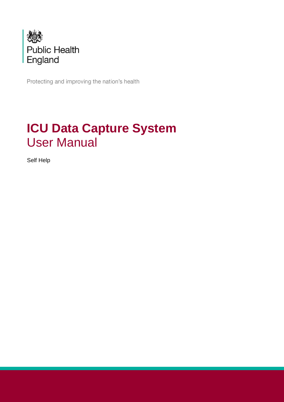

Protecting and improving the nation's health

## **ICU Data Capture System** User Manual

Self Help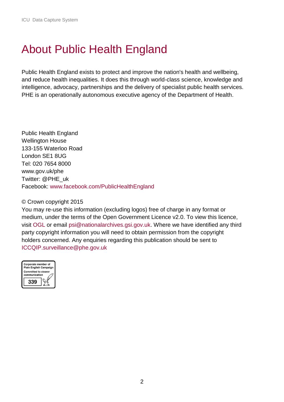### <span id="page-1-0"></span>About Public Health England

Public Health England exists to protect and improve the nation's health and wellbeing, and reduce health inequalities. It does this through world-class science, knowledge and intelligence, advocacy, partnerships and the delivery of specialist public health services. PHE is an operationally autonomous executive agency of the Department of Health.

Public Health England Wellington House 133-155 Waterloo Road London SE1 8UG Tel: 020 7654 8000 [www.gov.uk/phe](http://www.gov.uk/phe) Twitter: [@PHE\\_uk](https://twitter.com/PHE_uk) Facebook: [www.facebook.com/PublicHealthEngland](http://www.facebook.com/PublicHealthEngland)

#### © Crown copyright 2015

You may re-use this information (excluding logos) free of charge in any format or medium, under the terms of the Open Government Licence v2.0. To view this licence, visit [OGL](https://www.nationalarchives.gov.uk/doc/open-government-licence/version/2/) or email [psi@nationalarchives.gsi.gov.uk.](mailto:psi@nationalarchives.gsi.gov.uk) Where we have identified any third party copyright information you will need to obtain permission from the copyright holders concerned. Any enquiries regarding this publication should be sent to [ICCQIP.surveillance@phe.gov.uk](mailto:ICCQIP.surveillance@phe.gov.uk)

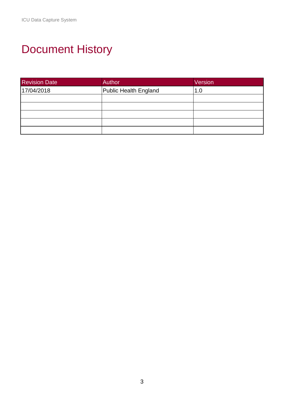# <span id="page-2-0"></span>Document History

| <b>Revision Date</b> | Author                | Version |
|----------------------|-----------------------|---------|
| 17/04/2018           | Public Health England | 1.0     |
|                      |                       |         |
|                      |                       |         |
|                      |                       |         |
|                      |                       |         |
|                      |                       |         |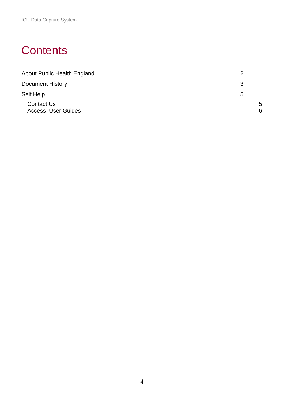### **Contents**

| About Public Health England                    | າ      |
|------------------------------------------------|--------|
| <b>Document History</b>                        | 3      |
| Self Help                                      | 5      |
| <b>Contact Us</b><br><b>Access User Guides</b> | 5<br>6 |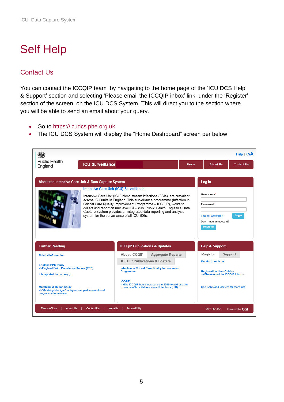# <span id="page-4-0"></span>Self Help

#### <span id="page-4-1"></span>Contact Us

You can contact the ICCQIP team by navigating to the home page of the 'ICU DCS Help & Support' section and selecting 'Please email the ICCQIP inbox' link under the 'Register' section of the screen on the ICU DCS System. This will direct you to the section where you will be able to send an email about your query.

- Go to [https://icudcs.phe.org.uk](https://icudcs.phe.org.uk/)
- The ICU DCS System will display the "Home Dashboard" screen per below